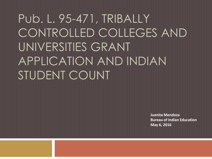## Pub. L. 95-471, TRIBALLY CONTROLLED COLLEGES AND UNIVERSITIES GRANT APPLICATION AND INDIAN STUDENT COUNT

**Juanita Mendoza Bureau of Indian Education May 6, 2016**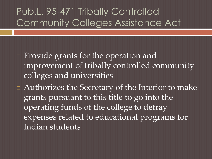#### Pub.L. 95-471 Tribally Controlled Community Colleges Assistance Act

□ Provide grants for the operation and improvement of tribally controlled community colleges and universities

 Authorizes the Secretary of the Interior to make grants pursuant to this title to go into the operating funds of the college to defray expenses related to educational programs for Indian students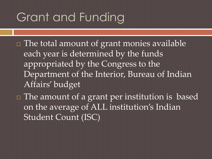#### Grant and Funding

- The total amount of grant monies available each year is determined by the funds appropriated by the Congress to the Department of the Interior, Bureau of Indian Affairs' budget
- The amount of a grant per institution is based on the average of ALL institution's Indian Student Count (ISC)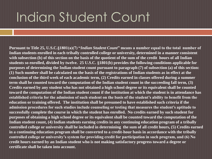## Indian Student Count

**Pursuant to Title 25, U.S.C.§1801(a)(7) "***Indian Student Count***" means a number equal to the total number of Indian students enrolled in each tribally controlled college or university, determined in a manner consistent with subsection (b) of this section on the basis of the quotient of the sum of the credit hours of all Indian students so enrolled, divided by twelve. 25 U.S.C. §1801(b) provides the following conditions applicable for purposes of determining the Indian student count pursuant to paragraph (7) of subsection (a) of this section: (1) Such number shall be calculated on the basis of the registrations of Indian students as in effect at the conclusion of the third week of each academic term, (2) Credits earned in classes offered during a summer term shall be counted toward the computation of the Indian student count in the succeeding fall term, (3) Credits earned by any student who has not obtained a high school degree or its equivalent shall be counted toward the computation of the Indian student count if the institution at which the student is in attendance has established criteria for the admission of such student on the basis of the student's ability to benefit from the education or training offered. The institution shall be presumed to have established such criteria if the admission procedures for such studies include counseling or testing that measures the student's aptitude to successfully complete the course in which the student has enrolled. No credits earned by such student for purposes of obtaining a high school degree or its equivalent shall be counted toward the computation of the Indian student count, (4) Indian students earning credits in any continuing education program of a tribally controlled college or university shall be included in determining the sum of all credit hours, (5) Credits earned in a continuing education program shall be converted to a credit-hour basis in accordance with the tribally controlled college or university's system for providing credit for participation in such program, and (6) No credit hours earned by an Indian student who is not making satisfactory progress toward a degree or certificate shall be taken into account.**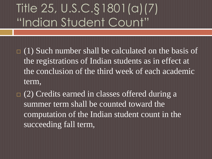- $\Box$  (1) Such number shall be calculated on the basis of the registrations of Indian students as in effect at the conclusion of the third week of each academic term,
- $\Box$  (2) Credits earned in classes offered during a summer term shall be counted toward the computation of the Indian student count in the succeeding fall term,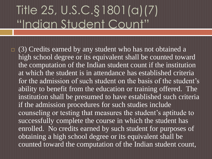$\Box$  (3) Credits earned by any student who has not obtained a high school degree or its equivalent shall be counted toward the computation of the Indian student count if the institution at which the student is in attendance has established criteria for the admission of such student on the basis of the student's ability to benefit from the education or training offered. The institution shall be presumed to have established such criteria if the admission procedures for such studies include counseling or testing that measures the student's aptitude to successfully complete the course in which the student has enrolled. No credits earned by such student for purposes of obtaining a high school degree or its equivalent shall be counted toward the computation of the Indian student count,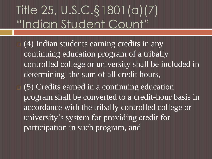- $\Box$  (4) Indian students earning credits in any continuing education program of a tribally controlled college or university shall be included in determining the sum of all credit hours,
- $\Box$  (5) Credits earned in a continuing education program shall be converted to a credit-hour basis in accordance with the tribally controlled college or university's system for providing credit for participation in such program, and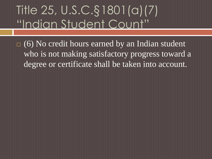$\Box$  (6) No credit hours earned by an Indian student who is not making satisfactory progress toward a degree or certificate shall be taken into account.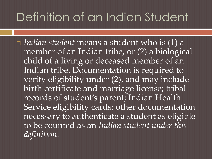#### Definition of an Indian Student

 *Indian student* means a student who is (1) a member of an Indian tribe, or (2) a biological child of a living or deceased member of an Indian tribe. Documentation is required to verify eligibility under (2), and may include birth certificate and marriage license; tribal records of student's parent; Indian Health Service eligibility cards; other documentation necessary to authenticate a student as eligible to be counted as an *Indian student under this definition*.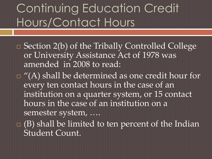## Continuing Education Credit Hours/Contact Hours

- Section 2(b) of the Tribally Controlled College or University Assistance Act of 1978 was amended in 2008 to read:
- $\Box$  "(A) shall be determined as one credit hour for every ten contact hours in the case of an institution on a quarter system, or 15 contact hours in the case of an institution on a semester system, ….
- $\Box$  (B) shall be limited to ten percent of the Indian Student Count.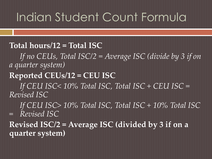#### Indian Student Count Formula

#### **Total hours/12 = Total ISC**

*If no CEUs, Total ISC/2 = Average ISC (divide by 3 if on a quarter system)*

#### **Reported CEUs/12 = CEU ISC**

*If CEU ISC< 10% Total ISC, Total ISC + CEU ISC = Revised ISC*

*If CEU ISC> 10% Total ISC, Total ISC + 10% Total ISC = Revised ISC*

**Revised ISC/2 = Average ISC (divided by 3 if on a quarter system)**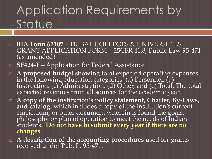### Application Requirements by Statue

- **BIA Form 62107**  TRIBAL COLLEGES & UNIVERSITIES GRANT APPLICATION FORM – 25CFR 41.8, Public Law 95-471 (as amended)
- **SF424-F**  Application for Federal Assistance
- **A proposed budget** showing total expected operating expenses in the following education categories: (a) Personnel, (b) Instruction, (c) Administration, (d) Other, and (e) Total. The total expected revenues from all sources for the academic year.
- **A copy of the institution's policy statement, Charter, By-Laws,**  and catalog, which includes a copy of the institution's current curriculum, or other document wherein is found the goals, philosophy or plan of operation to meet the needs of Indian students. **Do not have to submit every year if there are no changes**.
- **A description of the accounting procedures** used for grants received under Pub. L. 95-471.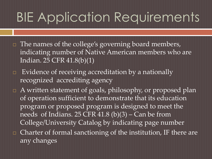## BIE Application Requirements

- $\Box$  The names of the college's governing board members, indicating number of Native American members who are Indian. 25 CFR 41.8(b)(1)
- **Evidence of receiving accreditation by a nationally** recognized accrediting agency
- A written statement of goals, philosophy, or proposed plan of operation sufficient to demonstrate that its education program or proposed program is designed to meet the needs of Indians.  $25$  CFR  $41.8$  (b)(3) – Can be from College/University Catalog by indicating page number
- □ Charter of formal sanctioning of the institution, IF there are any changes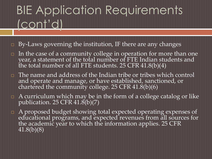## BIE Application Requirements (cont'd)

- $\Box$  By-Laws governing the institution, IF there are any changes
- In the case of a community college in operation for more than one year, a statement of the total number of FTE Indian students and the total number of all FTE students. 25  $CFR$   $41.8(b)(4)$
- The name and address of the Indian tribe or tribes which control and operate and manage, or have established, sanctioned, or chartered the community college. 25 CFR  $41.8(b)(6)$
- $\Box$  A curriculum which may be in the form of a college catalog or like publication. 25 CFR  $41.8(b)(7)$
- A proposed budget showing total expected operating expenses of educational programs, and expected revenues from all sources for the academic year to which the information applies. 25 CFR 41.8(b)(8)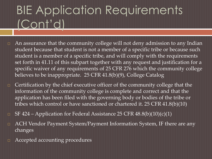## BIE Application Requirements (Cont'd)

- $\Box$  An assurance that the community college will not deny admission to any Indian student because that student is not a member of a specific tribe or because such student is a member of a specific tribe, and will comply with the requirements set forth in 41.11 of this subpart together with any request and justification for a specific waiver of any requirements of 25 CFR 276 which the community college believes to be inappropriate. 25 CFR 41.8(b)(9), College Catalog
- $\Box$  Certification by the chief executive officer of the community college that the information of the community college is complete and correct and that the application has been filed with the governing body or bodies of the tribe or tribes which control or have sanctioned or chartered it. 25 CFR 41.8(b)(10)
- $\Box$  SF 424 Application for Federal Assistance 25 CFR 48.8(b)(10)(c)(1)
- □ ACH Vendor Payment System/Payment Information System, IF there are any changes
- Accepted accounting procedures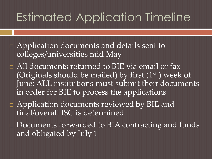### Estimated Application Timeline

- □ Application documents and details sent to colleges/universities mid May
- □ All documents returned to BIE via email or fax (Originals should be mailed) by first  $(1<sup>st</sup>)$  week of June; ALL institutions must submit their documents in order for BIE to process the applications
- □ Application documents reviewed by BIE and final/overall ISC is determined
- □ Documents forwarded to BIA contracting and funds and obligated by July 1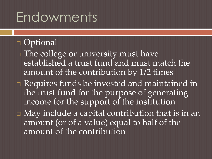## Endowments

#### Optional

- $\Box$  The college or university must have established a trust fund and must match the amount of the contribution by 1/2 times
- Requires funds be invested and maintained in the trust fund for the purpose of generating income for the support of the institution
- May include a capital contribution that is in an amount (or of a value) equal to half of the amount of the contribution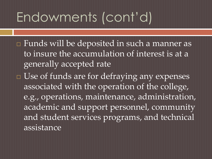## Endowments (cont'd)

- Funds will be deposited in such a manner as to insure the accumulation of interest is at a generally accepted rate
- □ Use of funds are for defraying any expenses associated with the operation of the college, e.g., operations, maintenance, administration, academic and support personnel, community and student services programs, and technical assistance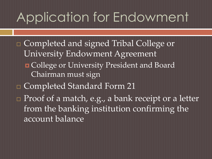## Application for Endowment

- □ Completed and signed Tribal College or University Endowment Agreement
	- **n** College or University President and Board Chairman must sign
- □ Completed Standard Form 21
- **Proof of a match, e.g., a bank receipt or a letter** from the banking institution confirming the account balance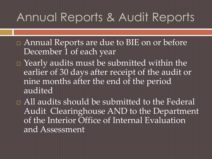#### Annual Reports & Audit Reports

- Annual Reports are due to BIE on or before December 1 of each year
- $\Box$  Yearly audits must be submitted within the earlier of 30 days after receipt of the audit or nine months after the end of the period audited
- □ All audits should be submitted to the Federal Audit Clearinghouse AND to the Department of the Interior Office of Internal Evaluation and Assessment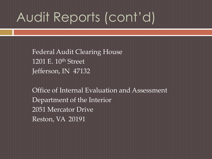# Audit Reports (cont'd)

Federal Audit Clearing House 1201 E. 10<sup>th</sup> Street Jefferson, IN 47132

Office of Internal Evaluation and Assessment Department of the Interior 2051 Mercator Drive Reston, VA 20191